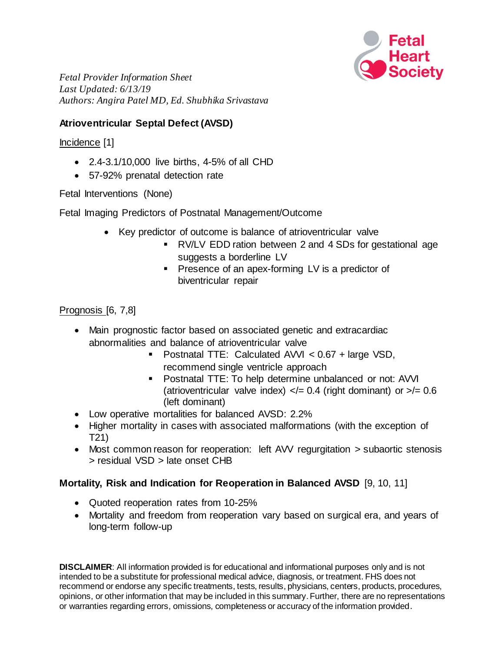

*Fetal Provider Information Sheet Last Updated: 6/13/19 Authors: Angira Patel MD, Ed. Shubhika Srivastava*

## **Atrioventricular Septal Defect (AVSD)**

Incidence [1]

- 2.4-3.1/10,000 live births, 4-5% of all CHD
- 57-92% prenatal detection rate

Fetal Interventions (None)

Fetal Imaging Predictors of Postnatal Management/Outcome

- Key predictor of outcome is balance of atrioventricular valve
	- RV/LV EDD ration between 2 and 4 SDs for gestational age suggests a borderline LV
	- **Presence of an apex-forming LV is a predictor of** biventricular repair

Prognosis [6, 7,8]

- Main prognostic factor based on associated genetic and extracardiac abnormalities and balance of atrioventricular valve
	- **Postnatal TTE: Calculated AVVI <**  $0.67$  **+ large VSD,** recommend single ventricle approach
	- Postnatal TTE: To help determine unbalanced or not: AVVI (atrioventricular valve index)  $\langle = 0.4$  (right dominant) or  $\langle = 0.6$ (left dominant)
- Low operative mortalities for balanced AVSD: 2.2%
- Higher mortality in cases with associated malformations (with the exception of T21)
- Most common reason for reoperation: left AVV regurgitation > subaortic stenosis > residual VSD > late onset CHB

## **Mortality, Risk and Indication for Reoperation in Balanced AVSD** [9, 10, 11]

- Quoted reoperation rates from 10-25%
- Mortality and freedom from reoperation vary based on surgical era, and years of long-term follow-up

**DISCLAIMER**: All information provided is for educational and informational purposes only and is not intended to be a substitute for professional medical advice, diagnosis, or treatment. FHS does not recommend or endorse any specific treatments, tests, results, physicians, centers, products, procedures, opinions, or other information that may be included in this summary.Further, there are no representations or warranties regarding errors, omissions, completeness or accuracy of the information provided.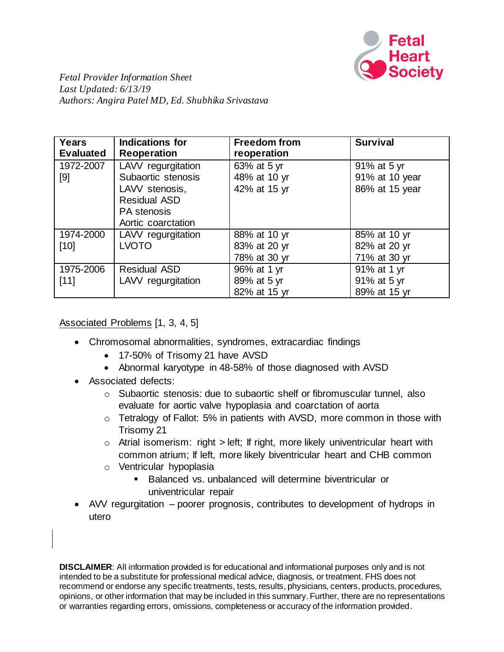

*Fetal Provider Information Sheet Last Updated: 6/13/19 Authors: Angira Patel MD, Ed. Shubhika Srivastava*

| <b>Years</b><br><b>Evaluated</b> | <b>Indications for</b><br><b>Reoperation</b>                                                                           | <b>Freedom from</b><br>reoperation           | <b>Survival</b>                                 |
|----------------------------------|------------------------------------------------------------------------------------------------------------------------|----------------------------------------------|-------------------------------------------------|
| 1972-2007<br>[9]                 | LAVV regurgitation<br>Subaortic stenosis<br>LAVV stenosis,<br><b>Residual ASD</b><br>PA stenosis<br>Aortic coarctation | 63% at 5 yr<br>48% at 10 yr<br>42% at 15 yr  | 91% at 5 yr<br>91% at 10 year<br>86% at 15 year |
| 1974-2000<br>$[10]$              | LAVV regurgitation<br><b>LVOTO</b>                                                                                     | 88% at 10 yr<br>83% at 20 yr<br>78% at 30 yr | 85% at 10 yr<br>82% at 20 yr<br>71% at 30 yr    |
| 1975-2006<br>[11]                | <b>Residual ASD</b><br>LAVV regurgitation                                                                              | 96% at 1 yr<br>89% at 5 yr<br>82% at 15 yr   | 91% at 1 yr<br>91% at 5 yr<br>89% at 15 yr      |

Associated Problems [1, 3, 4, 5]

- Chromosomal abnormalities, syndromes, extracardiac findings
	- 17-50% of Trisomy 21 have AVSD
	- Abnormal karyotype in 48-58% of those diagnosed with AVSD
- Associated defects:
	- o Subaortic stenosis: due to subaortic shelf or fibromuscular tunnel, also evaluate for aortic valve hypoplasia and coarctation of aorta
	- o Tetralogy of Fallot: 5% in patients with AVSD, more common in those with Trisomy 21
	- $\circ$  Atrial isomerism: right > left; If right, more likely univentricular heart with common atrium; If left, more likely biventricular heart and CHB common
	- o Ventricular hypoplasia
		- Balanced vs. unbalanced will determine biventricular or univentricular repair
- AVV regurgitation poorer prognosis, contributes to development of hydrops in utero

**DISCLAIMER**: All information provided is for educational and informational purposes only and is not intended to be a substitute for professional medical advice, diagnosis, or treatment. FHS does not recommend or endorse any specific treatments, tests, results, physicians, centers, products, procedures, opinions, or other information that may be included in this summary.Further, there are no representations or warranties regarding errors, omissions, completeness or accuracy of the information provided.